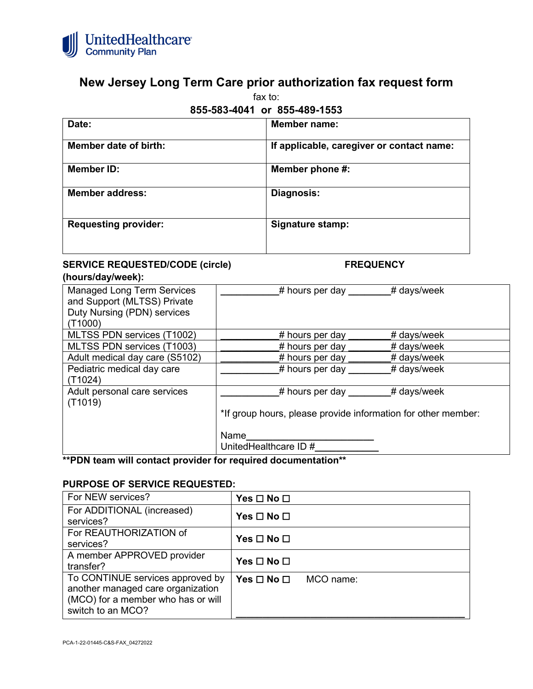

# **New Jersey Long Term Care prior authorization fax request form**

fax to:

## **855-583-4041 or 855-489-1553**

| Date:                       | <b>Member name:</b>                       |
|-----------------------------|-------------------------------------------|
| Member date of birth:       | If applicable, caregiver or contact name: |
| Member ID:                  | Member phone #:                           |
| <b>Member address:</b>      | Diagnosis:                                |
| <b>Requesting provider:</b> | <b>Signature stamp:</b>                   |
|                             |                                           |

## **SERVICE REQUESTED/CODE (circle) FREQUENCY**

### **(hours/day/week):**

| <b>Managed Long Term Services</b><br>and Support (MLTSS) Private<br>Duty Nursing (PDN) services<br>(T1000) | $#$ hours per day $\_\_$<br># days/week                       |  |
|------------------------------------------------------------------------------------------------------------|---------------------------------------------------------------|--|
| MLTSS PDN services (T1002)                                                                                 | # days/week<br>$#$ hours per day                              |  |
| MLTSS PDN services (T1003)                                                                                 | # days/week<br># hours per day                                |  |
| Adult medical day care (S5102)                                                                             | # days/week<br># hours per day                                |  |
| Pediatric medical day care<br>(T1024)                                                                      | # days/week<br># hours per day                                |  |
| Adult personal care services<br>(T1019)                                                                    | # days/week<br>$\#$ hours per day                             |  |
|                                                                                                            | *If group hours, please provide information for other member: |  |
|                                                                                                            | Name                                                          |  |
|                                                                                                            | UnitedHealthcare ID #                                         |  |

## **\*\*PDN team will contact provider for required documentation\*\***

#### **PURPOSE OF SERVICE REQUESTED:**

| For NEW services?                                                                                                                | $Yes \Box No \Box$         |           |
|----------------------------------------------------------------------------------------------------------------------------------|----------------------------|-----------|
| For ADDITIONAL (increased)<br>services?                                                                                          | Yes $\square$ No $\square$ |           |
| For REAUTHORIZATION of<br>services?                                                                                              | Yes $\square$ No $\square$ |           |
| A member APPROVED provider<br>transfer?                                                                                          | Yes $\square$ No $\square$ |           |
| To CONTINUE services approved by<br>another managed care organization<br>(MCO) for a member who has or will<br>switch to an MCO? | Yes $\Box$ No $\Box$       | MCO name: |